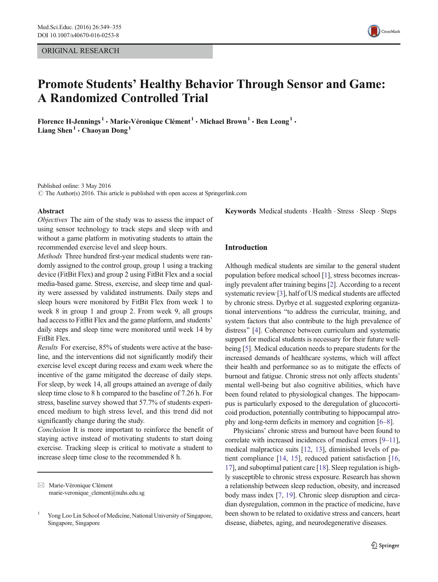ORIGINAL RESEARCH



# Promote Students' Healthy Behavior Through Sensor and Game: A Randomized Controlled Trial

Florence H-Jennings<sup>1</sup> • Marie-Véronique Clément<sup>1</sup> • Michael Brown<sup>1</sup> • Ben Leong<sup>1</sup> • Liang Shen<sup>1</sup>  $\cdot$  Chaoyan Dong<sup>1</sup>

Published online: 3 May 2016  $\odot$  The Author(s) 2016. This article is published with open access at Springerlink.com

#### Abstract

Objectives The aim of the study was to assess the impact of using sensor technology to track steps and sleep with and without a game platform in motivating students to attain the recommended exercise level and sleep hours.

Methods Three hundred first-year medical students were randomly assigned to the control group, group 1 using a tracking device (FitBit Flex) and group 2 using FitBit Flex and a social media-based game. Stress, exercise, and sleep time and quality were assessed by validated instruments. Daily steps and sleep hours were monitored by FitBit Flex from week 1 to week 8 in group 1 and group 2. From week 9, all groups had access to FitBit Flex and the game platform, and students' daily steps and sleep time were monitored until week 14 by FitBit Flex.

Results For exercise, 85% of students were active at the baseline, and the interventions did not significantly modify their exercise level except during recess and exam week where the incentive of the game mitigated the decrease of daily steps. For sleep, by week 14, all groups attained an average of daily sleep time close to 8 h compared to the baseline of 7.26 h. For stress, baseline survey showed that 57.7% of students experienced medium to high stress level, and this trend did not significantly change during the study.

Conclusion It is more important to reinforce the benefit of staying active instead of motivating students to start doing exercise. Tracking sleep is critical to motivate a student to increase sleep time close to the recommended 8 h.

 $\boxtimes$  Marie-Véronique Clément marie-veronique\_clement@nuhs.edu.sg Keywords Medical students . Health . Stress . Sleep . Steps

#### Introduction

Although medical students are similar to the general student population before medical school [[1\]](#page-6-0), stress becomes increasingly prevalent after training begins [[2\]](#page-6-0). According to a recent systematic review [\[3\]](#page-6-0), half of US medical students are affected by chronic stress. Dyrbye et al. suggested exploring organizational interventions "to address the curricular, training, and system factors that also contribute to the high prevalence of distress" [\[4](#page-6-0)]. Coherence between curriculum and systematic support for medical students is necessary for their future wellbeing [\[5\]](#page-6-0). Medical education needs to prepare students for the increased demands of healthcare systems, which will affect their health and performance so as to mitigate the effects of burnout and fatigue. Chronic stress not only affects students' mental well-being but also cognitive abilities, which have been found related to physiological changes. The hippocampus is particularly exposed to the deregulation of glucocorticoid production, potentially contributing to hippocampal atrophy and long-term deficits in memory and cognition [\[6](#page-6-0)–[8\]](#page-6-0).

Physicians' chronic stress and burnout have been found to correlate with increased incidences of medical errors [\[9](#page-6-0)–[11\]](#page-6-0), medical malpractice suits [[12,](#page-6-0) [13\]](#page-6-0), diminished levels of patient compliance [[14](#page-6-0), [15\]](#page-6-0), reduced patient satisfaction [[16,](#page-6-0) [17\]](#page-6-0), and suboptimal patient care [[18](#page-6-0)]. Sleep regulation is highly susceptible to chronic stress exposure. Research has shown a relationship between sleep reduction, obesity, and increased body mass index [\[7](#page-6-0), [19](#page-6-0)]. Chronic sleep disruption and circadian dysregulation, common in the practice of medicine, have been shown to be related to oxidative stress and cancers, heart disease, diabetes, aging, and neurodegenerative diseases.

Yong Loo Lin School of Medicine, National University of Singapore, Singapore, Singapore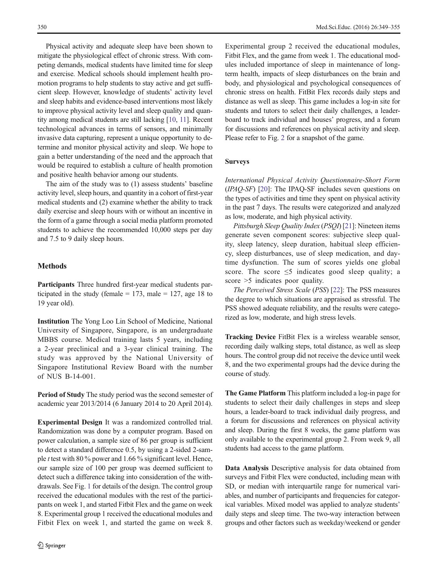Physical activity and adequate sleep have been shown to mitigate the physiological effect of chronic stress. With competing demands, medical students have limited time for sleep and exercise. Medical schools should implement health promotion programs to help students to stay active and get sufficient sleep. However, knowledge of students' activity level and sleep habits and evidence-based interventions most likely to improve physical activity level and sleep quality and quantity among medical students are still lacking [\[10](#page-6-0), [11\]](#page-6-0). Recent technological advances in terms of sensors, and minimally invasive data capturing, represent a unique opportunity to determine and monitor physical activity and sleep. We hope to gain a better understanding of the need and the approach that would be required to establish a culture of health promotion and positive health behavior among our students.

The aim of the study was to (1) assess students' baseline activity level, sleep hours, and quantity in a cohort of first-year medical students and (2) examine whether the ability to track daily exercise and sleep hours with or without an incentive in the form of a game through a social media platform promoted students to achieve the recommended 10,000 steps per day and 7.5 to 9 daily sleep hours.

# **Methods**

Participants Three hundred first-year medical students participated in the study (female  $= 173$ , male  $= 127$ , age 18 to 19 year old).

Institution The Yong Loo Lin School of Medicine, National University of Singapore, Singapore, is an undergraduate MBBS course. Medical training lasts 5 years, including a 2-year preclinical and a 3-year clinical training. The study was approved by the National University of Singapore Institutional Review Board with the number of NUS B-14-001.

Period of Study The study period was the second semester of academic year 2013/2014 (6 January 2014 to 20 April 2014).

Experimental Design It was a randomized controlled trial. Randomization was done by a computer program. Based on power calculation, a sample size of 86 per group is sufficient to detect a standard difference 0.5, by using a 2-sided 2-sample t test with 80 % power and 1.66 % significant level. Hence, our sample size of 100 per group was deemed sufficient to detect such a difference taking into consideration of the withdrawals. See Fig. [1](#page-2-0) for details of the design. The control group received the educational modules with the rest of the participants on week 1, and started Fitbit Flex and the game on week 8. Experimental group 1 received the educational modules and Fitbit Flex on week 1, and started the game on week 8.

Experimental group 2 received the educational modules, Fitbit Flex, and the game from week 1. The educational modules included importance of sleep in maintenance of longterm health, impacts of sleep disturbances on the brain and body, and physiological and psychological consequences of chronic stress on health. FitBit Flex records daily steps and distance as well as sleep. This game includes a log-in site for students and tutors to select their daily challenges, a leaderboard to track individual and houses' progress, and a forum for discussions and references on physical activity and sleep. Please refer to Fig. [2](#page-2-0) for a snapshot of the game.

# Surveys

International Physical Activity Questionnaire-Short Form (IPAQ-SF) [\[20](#page-6-0)]: The IPAQ-SF includes seven questions on the types of activities and time they spent on physical activity in the past 7 days. The results were categorized and analyzed as low, moderate, and high physical activity.

Pittsburgh Sleep Quality Index (PSQI) [\[21\]](#page-6-0): Nineteen items generate seven component scores: subjective sleep quality, sleep latency, sleep duration, habitual sleep efficiency, sleep disturbances, use of sleep medication, and daytime dysfunction. The sum of scores yields one global score. The score  $\leq$ 5 indicates good sleep quality; a score >5 indicates poor quality.

The Perceived Stress Scale (PSS) [\[22\]](#page-6-0): The PSS measures the degree to which situations are appraised as stressful. The PSS showed adequate reliability, and the results were categorized as low, moderate, and high stress levels.

Tracking Device FitBit Flex is a wireless wearable sensor, recording daily walking steps, total distance, as well as sleep hours. The control group did not receive the device until week 8, and the two experimental groups had the device during the course of study.

The Game Platform This platform included a log-in page for students to select their daily challenges in steps and sleep hours, a leader-board to track individual daily progress, and a forum for discussions and references on physical activity and sleep. During the first 8 weeks, the game platform was only available to the experimental group 2. From week 9, all students had access to the game platform.

Data Analysis Descriptive analysis for data obtained from surveys and Fitbit Flex were conducted, including mean with SD, or median with interquartile range for numerical variables, and number of participants and frequencies for categorical variables. Mixed model was applied to analyze students' daily steps and sleep time. The two-way interaction between groups and other factors such as weekday/weekend or gender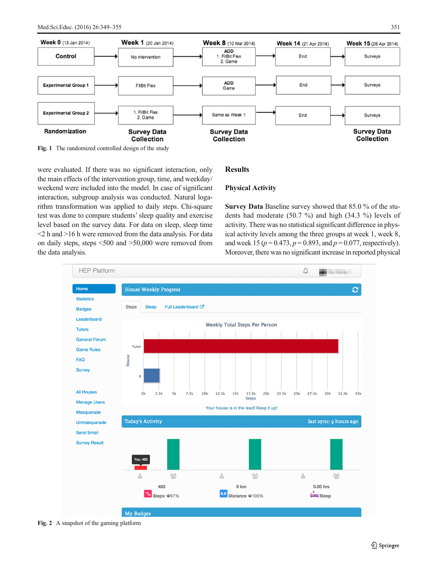<span id="page-2-0"></span>

Fig. 1 The randomized controlled design of the study

were evaluated. If there was no significant interaction, only the main effects of the intervention group, time, and weekday/ weekend were included into the model. In case of significant interaction, subgroup analysis was conducted. Natural logarithm transformation was applied to daily steps. Chi-square test was done to compare students' sleep quality and exercise level based on the survey data. For data on sleep, sleep time <2 h and >16 h were removed from the data analysis. For data on daily steps, steps <500 and >50,000 were removed from the data analysis.

# **Results**

## Physical Activity

Survey Data Baseline survey showed that 85.0 % of the students had moderate (50.7 %) and high (34.3 %) levels of activity. There was no statistical significant difference in physical activity levels among the three groups at week 1, week 8, and week 15 ( $p = 0.473$ ,  $p = 0.893$ , and  $p = 0.077$ , respectively). Moreover, there was no significant increase in reported physical

#### **HEP Platform** △ **Contractor** Home **House Weekly Progress** c **Statistics** Steps Sleep Full Leaderboard C **Badges** Leaderboard Weekly Total Steps Per Person Tutors **General Forum** Tute **Game Rules** House FAQ Survey **All Houses**  $\alpha$  $2.5k$ 5k  $7.5k$  $10k$  $12.5k$  $15k$  $17.5k$  $20k$  $22.5k$  $25k$  $27.5k$  $30k$ 32.5k  $35k$ **Steps Manage Users** Your house is in the lead! Keep it up! Masquerade **Today's Activity** last sync: 9 hours ago Unmasquerade **Send Email Survey Result** 學  $\geq$  $\frac{2\pi}{\sqrt{3}}$  $\triangle$ 學 483  $0 km$ 0.00 hrs Distance +100% Steps +97% Sleep **My Badges**

Fig. 2 A snapshot of the gaming platform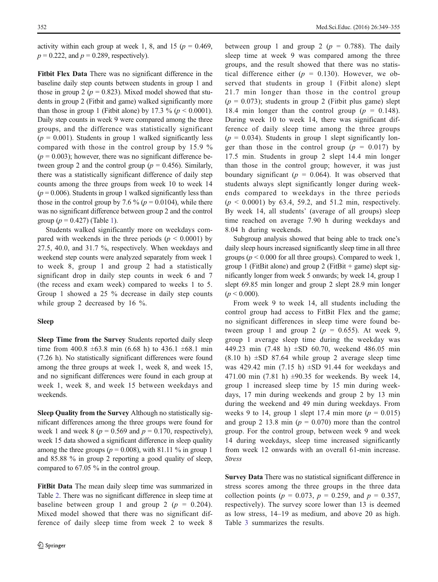activity within each group at week 1, 8, and 15 ( $p = 0.469$ ,  $p = 0.222$ , and  $p = 0.289$ , respectively).

Fitbit Flex Data There was no significant difference in the baseline daily step counts between students in group 1 and those in group 2 ( $p = 0.823$ ). Mixed model showed that students in group 2 (Fitbit and game) walked significantly more than those in group 1 (Fitbit alone) by 17.3 % ( $p < 0.0001$ ). Daily step counts in week 9 were compared among the three groups, and the difference was statistically significant  $(p = 0.001)$ . Students in group 1 walked significantly less compared with those in the control group by 15.9 %  $(p = 0.003)$ ; however, there was no significant difference between group 2 and the control group ( $p = 0.456$ ). Similarly, there was a statistically significant difference of daily step counts among the three groups from week 10 to week 14  $(p = 0.006)$ . Students in group 1 walked significantly less than those in the control group by 7.6 % ( $p = 0.0104$ ), while there was no significant difference between group 2 and the control group ( $p = 0.427$ ) (Table [1](#page-4-0)).

Students walked significantly more on weekdays compared with weekends in the three periods ( $p < 0.0001$ ) by 27.5, 40.0, and 31.7 %, respectively. When weekdays and weekend step counts were analyzed separately from week 1 to week 8, group 1 and group 2 had a statistically significant drop in daily step counts in week 6 and 7 (the recess and exam week) compared to weeks 1 to 5. Group 1 showed a 25 % decrease in daily step counts while group 2 decreased by 16 %.

#### Sleep

Sleep Time from the Survey Students reported daily sleep time from  $400.8 \pm 63.8$  min  $(6.68 \text{ h})$  to  $436.1 \pm 68.1$  min (7.26 h). No statistically significant differences were found among the three groups at week 1, week 8, and week 15, and no significant differences were found in each group at week 1, week 8, and week 15 between weekdays and weekends.

Sleep Quality from the Survey Although no statistically significant differences among the three groups were found for week 1 and week 8 ( $p = 0.569$  and  $p = 0.170$ , respectively), week 15 data showed a significant difference in sleep quality among the three groups ( $p = 0.008$ ), with 81.11 % in group 1 and 85.88 % in group 2 reporting a good quality of sleep, compared to 67.05 % in the control group.

FitBit Data The mean daily sleep time was summarized in Table [2](#page-5-0). There was no significant difference in sleep time at baseline between group 1 and group 2 ( $p = 0.204$ ). Mixed model showed that there was no significant difference of daily sleep time from week 2 to week 8 between group 1 and group 2 ( $p = 0.788$ ). The daily sleep time at week 9 was compared among the three groups, and the result showed that there was no statistical difference either  $(p = 0.130)$ . However, we observed that students in group 1 (Fitbit alone) slept 21.7 min longer than those in the control group  $(p = 0.073)$ ; students in group 2 (Fitbit plus game) slept 18.4 min longer than the control group ( $p = 0.148$ ). During week 10 to week 14, there was significant difference of daily sleep time among the three groups  $(p = 0.034)$ . Students in group 1 slept significantly longer than those in the control group ( $p = 0.017$ ) by 17.5 min. Students in group 2 slept 14.4 min longer than those in the control group; however, it was just boundary significant ( $p = 0.064$ ). It was observed that students always slept significantly longer during weekends compared to weekdays in the three periods  $(p < 0.0001)$  by 63.4, 59.2, and 51.2 min, respectively. By week 14, all students' (average of all groups) sleep time reached on average 7.90 h during weekdays and 8.04 h during weekends.

Subgroup analysis showed that being able to track one's daily sleep hours increased significantly sleep time in all three groups ( $p \le 0.000$  for all three groups). Compared to week 1, group 1 (FitBit alone) and group 2 (FitBit + game) slept significantly longer from week 5 onwards; by week 14, group 1 slept 69.85 min longer and group 2 slept 28.9 min longer  $(p < 0.000)$ .

From week 9 to week 14, all students including the control group had access to FitBit Flex and the game; no significant differences in sleep time were found between group 1 and group 2 ( $p = 0.655$ ). At week 9, group 1 average sleep time during the weekday was 449.23 min (7.48 h) ±SD 60.70, weekend 486.05 min  $(8.10 \text{ h})$   $\pm$ SD 87.64 while group 2 average sleep time was 429.42 min (7.15 h)  $\pm$ SD 91.44 for weekdays and 471.00 min (7.81 h)  $\pm 90.35$  for weekends. By week 14, group 1 increased sleep time by 15 min during weekdays, 17 min during weekends and group 2 by 13 min during the weekend and 49 min during weekdays. From weeks 9 to 14, group 1 slept 17.4 min more ( $p = 0.015$ ) and group 2 13.8 min ( $p = 0.070$ ) more than the control group. For the control group, between week 9 and week 14 during weekdays, sleep time increased significantly from week 12 onwards with an overall 61-min increase. Stress

Survey Data There was no statistical significant difference in stress scores among the three groups in the three data collection points ( $p = 0.073$ ,  $p = 0.259$ , and  $p = 0.357$ , respectively). The survey score lower than 13 is deemed as low stress, 14–19 as medium, and above 20 as high. Table [3](#page-5-0) summarizes the results.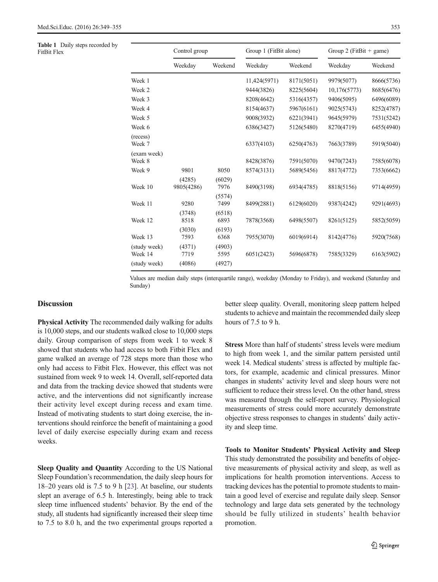<span id="page-4-0"></span>Table 1 Daily steps recorded by<br>FitBit Flex

| $1400x + 120y$ bicps recorded by<br>FitBit Flex |                         | Control group        |                | Group 1 (FitBit alone) |            | Group 2 (FitBit $+$ game) |            |
|-------------------------------------------------|-------------------------|----------------------|----------------|------------------------|------------|---------------------------|------------|
|                                                 |                         | Weekday              | Weekend        | Weekday                | Weekend    | Weekday                   | Weekend    |
|                                                 | Week 1                  |                      |                | 11,424(5971)           | 8171(5051) | 9979(5077)                | 8666(5736) |
|                                                 | Week 2                  |                      |                | 9444(3826)             | 8225(5604) | 10,176(5773)              | 8685(6476) |
|                                                 | Week 3                  |                      |                | 8208(4642)             | 5316(4357) | 9406(5095)                | 6496(6089) |
|                                                 | Week 4                  |                      |                | 8154(4637)             | 5967(6161) | 9025(5743)                | 8252(4787) |
|                                                 | Week 5                  |                      |                | 9008(3932)             | 6221(3941) | 9645(5979)                | 7531(5242) |
|                                                 | Week 6                  |                      |                | 6386(3427)             | 5126(5480) | 8270(4719)                | 6455(4940) |
|                                                 | (recess)<br>Week 7      |                      |                | 6337(4103)             | 6250(4763) | 7663(3789)                | 5919(5040) |
|                                                 | (exam week)<br>Week 8   |                      |                | 8428(3876)             | 7591(5070) | 9470(7243)                | 7585(6078) |
|                                                 | Week 9                  | 9801                 | 8050           | 8574(3131)             | 5689(5456) | 8817(4772)                | 7353(6662) |
|                                                 | Week 10                 | (4285)<br>9805(4286) | (6029)<br>7976 | 8490(3198)             | 6934(4785) | 8818(5156)                | 9714(4959) |
|                                                 | Week 11                 | 9280                 | (5574)<br>7499 | 8499(2881)             | 6129(6020) | 9387(4242)                | 9291(4693) |
|                                                 | Week 12                 | (3748)<br>8518       | (6518)<br>6893 | 7878(3568)             | 6498(5507) | 8261(5125)                | 5852(5059) |
|                                                 | Week 13                 | (3030)<br>7593       | (6193)<br>6368 | 7955(3070)             | 6019(6914) | 8142(4776)                | 5920(7568) |
|                                                 | (study week)<br>Week 14 | (4371)<br>7719       | (4903)<br>5595 | 6051(2423)             | 5696(6878) | 7585(3329)                | 6163(5902) |
|                                                 | (study week)            | (4086)               | (4927)         |                        |            |                           |            |
|                                                 |                         |                      |                |                        |            |                           |            |

Values are median daily steps (interquartile range), weekday (Monday to Friday), and weekend (Saturday and Sunday)

#### **Discussion**

Physical Activity The recommended daily walking for adults is 10,000 steps, and our students walked close to 10,000 steps daily. Group comparison of steps from week 1 to week 8 showed that students who had access to both Fitbit Flex and game walked an average of 728 steps more than those who only had access to Fitbit Flex. However, this effect was not sustained from week 9 to week 14. Overall, self-reported data and data from the tracking device showed that students were active, and the interventions did not significantly increase their activity level except during recess and exam time. Instead of motivating students to start doing exercise, the interventions should reinforce the benefit of maintaining a good level of daily exercise especially during exam and recess weeks.

Sleep Quality and Quantity According to the US National Sleep Foundation's recommendation, the daily sleep hours for 18–20 years old is 7.5 to 9 h [[23\]](#page-6-0). At baseline, our students slept an average of 6.5 h. Interestingly, being able to track sleep time influenced students' behavior. By the end of the study, all students had significantly increased their sleep time to 7.5 to 8.0 h, and the two experimental groups reported a better sleep quality. Overall, monitoring sleep pattern helped students to achieve and maintain the recommended daily sleep hours of 7.5 to 9 h.

Stress More than half of students' stress levels were medium to high from week 1, and the similar pattern persisted until week 14. Medical students' stress is affected by multiple factors, for example, academic and clinical pressures. Minor changes in students' activity level and sleep hours were not sufficient to reduce their stress level. On the other hand, stress was measured through the self-report survey. Physiological measurements of stress could more accurately demonstrate objective stress responses to changes in students' daily activity and sleep time.

Tools to Monitor Students' Physical Activity and Sleep This study demonstrated the possibility and benefits of objective measurements of physical activity and sleep, as well as implications for health promotion interventions. Access to tracking devices has the potential to promote students to maintain a good level of exercise and regulate daily sleep. Sensor technology and large data sets generated by the technology should be fully utilized in students' health behavior promotion.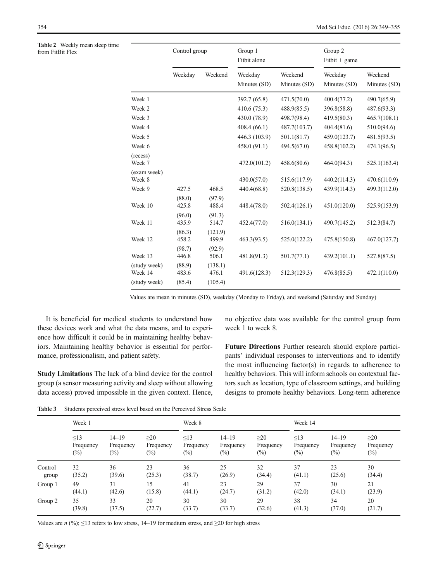<span id="page-5-0"></span>Table 2 Weekly mean sleep time from FitBit Flex

|                         | Control group   |                  | Group 1<br>Fitbit alone |                         | Group 2<br>$Fitbit + game$ |                         |  |
|-------------------------|-----------------|------------------|-------------------------|-------------------------|----------------------------|-------------------------|--|
|                         | Weekday         | Weekend          | Weekday<br>Minutes (SD) | Weekend<br>Minutes (SD) | Weekday<br>Minutes (SD)    | Weekend<br>Minutes (SD) |  |
| Week 1                  |                 |                  | 392.7 (65.8)            | 471.5(70.0)             | 400.4(77.2)                | 490.7(65.9)             |  |
| Week 2                  |                 |                  | 410.6(75.3)             | 488.9(85.5)             | 396.8(58.8)                | 487.6(93.3)             |  |
| Week 3                  |                 |                  | 430.0 (78.9)            | 498.7(98.4)             | 419.5(80.3)                | 465.7(108.1)            |  |
| Week 4                  |                 |                  | 408.4(66.1)             | 487.7(103.7)            | 404.4(81.6)                | 510.0(94.6)             |  |
| Week 5                  |                 |                  | 446.3 (103.9)           | 501.1(81.7)             | 459.0(123.7)               | 481.5(93.5)             |  |
| Week 6                  |                 |                  | 458.0 (91.1)            | 494.5(67.0)             | 458.8(102.2)               | 474.1(96.5)             |  |
| (recess)<br>Week 7      |                 |                  | 472.0(101.2)            | 458.6(80.6)             | 464.0(94.3)                | 525.1(163.4)            |  |
| (exam week)<br>Week 8   |                 |                  | 430.0(57.0)             | 515.6(117.9)            | 440.2(114.3)               | 470.6(110.9)            |  |
| Week 9                  | 427.5           | 468.5            | 440.4(68.8)             | 520.8(138.5)            | 439.9(114.3)               | 499.3(112.0)            |  |
| Week 10                 | (88.0)<br>425.8 | (97.9)<br>488.4  | 448.4(78.0)             | 502.4(126.1)            | 451.0(120.0)               | 525.9(153.9)            |  |
| Week 11                 | (96.0)<br>435.9 | (91.3)<br>514.7  | 452.4(77.0)             | 516.0(134.1)            | 490.7(145.2)               | 512.3(84.7)             |  |
| Week 12                 | (86.3)<br>458.2 | (121.9)<br>499.9 | 463.3(93.5)             | 525.0(122.2)            | 475.8(150.8)               | 467.0(127.7)            |  |
| Week 13                 | (98.7)<br>446.8 | (92.9)<br>506.1  | 481.8(91.3)             | 501.7(77.1)             | 439.2(101.1)               | 527.8(87.5)             |  |
| (study week)<br>Week 14 | (88.9)<br>483.6 | (138.1)<br>476.1 | 491.6(128.3)            | 512.3(129.3)            | 476.8(85.5)                | 472.1(110.0)            |  |
| (study week)            | (85.4)          | (105.4)          |                         |                         |                            |                         |  |

Values are mean in minutes (SD), weekday (Monday to Friday), and weekend (Saturday and Sunday)

It is beneficial for medical students to understand how these devices work and what the data means, and to experience how difficult it could be in maintaining healthy behaviors. Maintaining healthy behavior is essential for performance, professionalism, and patient safety.

Study Limitations The lack of a blind device for the control group (a sensor measuring activity and sleep without allowing data access) proved impossible in the given context. Hence, no objective data was available for the control group from week 1 to week 8.

Future Directions Further research should explore participants' individual responses to interventions and to identify the most influencing factor(s) in regards to adherence to healthy behaviors. This will inform schools on contextual factors such as location, type of classroom settings, and building designs to promote healthy behaviors. Long-term adherence

Table 3 Students perceived stress level based on the Perceived Stress Scale

|         | Week 1         |           |           | Week 8    |           |           | Week 14   |           |           |
|---------|----------------|-----------|-----------|-----------|-----------|-----------|-----------|-----------|-----------|
|         | $\leq$ 13      | $14 - 19$ | $\geq$ 20 | $\leq$ 13 | $14 - 19$ | $\geq$ 20 | $\leq$ 13 | $14 - 19$ | $\geq$ 20 |
|         | Frequency      | Frequency | Frequency | Frequency | Frequency | Frequency | Frequency | Frequency | Frequency |
|         | $\binom{0}{0}$ | $(\%)$    | $(\%)$    | $(\%)$    | $(\%)$    | $(\%)$    | $(\%)$    | $(\%)$    | $(\%)$    |
| Control | 32             | 36        | 23        | 36        | 25        | 32        | 37        | 23        | 30        |
| group   | (35.2)         | (39.6)    | (25.3)    | (38.7)    | (26.9)    | (34.4)    | (41.1)    | (25.6)    | (34.4)    |
| Group 1 | 49             | 31        | 15        | 41        | 23        | 29        | 37        | 30        | 21        |
|         | (44.1)         | (42.6)    | (15.8)    | (44.1)    | (24.7)    | (31.2)    | (42.0)    | (34.1)    | (23.9)    |
| Group 2 | 35             | 33        | 20        | 30        | 30        | 29        | 38        | 34        | 20        |
|         | (39.8)         | (37.5)    | (22.7)    | (33.7)    | (33.7)    | (32.6)    | (41.3)    | (37.0)    | (21.7)    |

Values are  $n$  (%); ≤13 refers to low stress, 14–19 for medium stress, and ≥20 for high stress